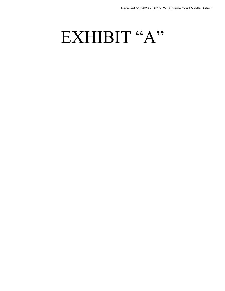# EXHIBIT "A"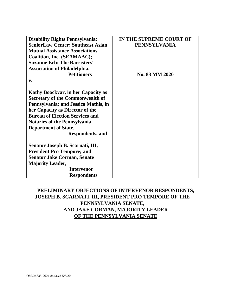| <b>Disability Rights Pennsylvania;</b>    | IN THE SUPREME COURT OF |
|-------------------------------------------|-------------------------|
| <b>SeniorLaw Center; Southeast Asian</b>  | <b>PENNSYLVANIA</b>     |
| <b>Mutual Assistance Associations</b>     |                         |
| Coalition, Inc. (SEAMAAC);                |                         |
| <b>Suzanne Erb; The Barristers'</b>       |                         |
| <b>Association of Philadelphia,</b>       |                         |
| <b>Petitioners</b>                        | No. 83 MM 2020          |
| $\mathbf{v}$ .                            |                         |
| <b>Kathy Boockvar, in her Capacity as</b> |                         |
| <b>Secretary of the Commonwealth of</b>   |                         |
| Pennsylvania; and Jessica Mathis, in      |                         |
| her Capacity as Director of the           |                         |
| <b>Bureau of Election Services and</b>    |                         |
| <b>Notaries of the Pennsylvania</b>       |                         |
| <b>Department of State,</b>               |                         |
| <b>Respondents, and</b>                   |                         |
| Senator Joseph B. Scarnati, III,          |                         |
| <b>President Pro Tempore; and</b>         |                         |
| <b>Senator Jake Corman, Senate</b>        |                         |
| <b>Majority Leader,</b>                   |                         |
| <b>Intervenor</b>                         |                         |
| <b>Respondents</b>                        |                         |

# **PRELIMINARY OBJECTIONS OF INTERVENOR RESPONDENTS, JOSEPH B. SCARNATI, III, PRESIDENT PRO TEMPORE OF THE PENNSYLVANIA SENATE, AND JAKE CORMAN, MAJORITY LEADER OF THE PENNSYLVANIA SENATE**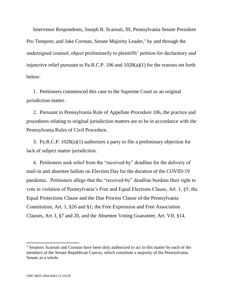Intervenor Respondents, Joseph B. Scarnati, III, Pennsylvania Senate President Pro Tempore, and Jake Corman, Senate Majority Leader, $<sup>1</sup>$  by and through the</sup> undersigned counsel, object preliminarily to plaintiffs' petition for declaratory and injunctive relief pursuant to Pa.R.C.P. 106 and 1028(a)(1) for the reasons set forth below:

1. Petitioners commenced this case in the Supreme Court as an original jurisdiction matter.

2. Pursuant to Pennsylvania Rule of Appellate Procedure 106, the practice and procedures relating to original jurisdiction matters are to be in accordance with the Pennsylvania Rules of Civil Procedure.

3. Pa.R.C.P. 1028(a)(1) authorizes a party to file a preliminary objection for lack of subject matter jurisdiction.

4. Petitioners seek relief from the "received-by" deadline for the delivery of mail-in and absentee ballots on Election Day for the duration of the COVID-19 pandemic. Petitioners allege that the "received-by" deadline burdens their right to vote in violation of Pennsylvania's Free and Equal Elections Clause, Art. 1, §5; the Equal Protections Clause and the Due Process Clause of the Pennsylvania Constitution, Art. 1, §26 and §1; the Free Expression and Free Association Clauses, Art. I, §7 and 20, and the Absentee Voting Guarantee, Art. VII, §14.

 $\overline{\phantom{a}}$ 

 $<sup>1</sup>$  Senators Scarnati and Corman have been duly authorized to act in this matter by each of the</sup> members of the Senate Republican Caucus, which constitute a majority of the Pennsylvania Senate as a whole.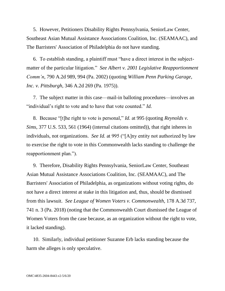5. However, Petitioners Disability Rights Pennsylvania, SeniorLaw Center, Southeast Asian Mutual Assistance Associations Coalition, Inc. (SEAMAAC), and The Barristers' Association of Philadelphia do not have standing.

6. To establish standing, a plaintiff must "have a direct interest in the subjectmatter of the particular litigation." *See Albert v. 2001 Legislative Reapportionment Comm'n*, 790 A.2d 989, 994 (Pa. 2002) (quoting *William Penn Parking Garage, Inc. v. Pittsburgh*, 346 A.2d 269 (Pa. 1975)).

7. The subject matter in this case—mail-in balloting procedures—involves an "individual's right to vote and to have that vote counted." *Id.*

8. Because "[t]he right to vote is personal," *Id.* at 995 (quoting *Reynolds v. Sims*, 377 U.S. 533, 561 (1964) (internal citations omitted)), that right inheres in individuals, not organizations. *See Id.* at 995 ("[A]ny entity not authorized by law to exercise the right to vote in this Commonwealth lacks standing to challenge the reapportionment plan.").

9. Therefore, Disability Rights Pennsylvania, SeniorLaw Center, Southeast Asian Mutual Assistance Associations Coalition, Inc. (SEAMAAC), and The Barristers' Association of Philadelphia, as organizations without voting rights, do not have a direct interest at stake in this litigation and, thus, should be dismissed from this lawsuit. *See League of Women Voters v. Commonwealth*, 178 A.3d 737, 741 n. 3 (Pa. 2018) (noting that the Commonwealth Court dismissed the League of Women Voters from the case because, as an organization without the right to vote, it lacked standing).

10. Similarly, individual petitioner Suzanne Erb lacks standing because the harm she alleges is only speculative.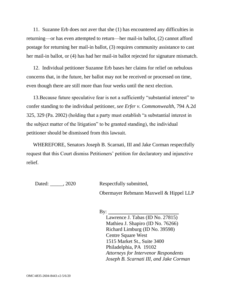11. Suzanne Erb does not aver that she (1) has encountered any difficulties in returning—or has even attempted to return—her mail-in ballot, (2) cannot afford postage for returning her mail-in ballot, (3) requires community assistance to cast her mail-in ballot, or (4) has had her mail-in ballot rejected for signature mismatch.

12. Individual petitioner Suzanne Erb bases her claims for relief on nebulous concerns that, in the future, her ballot may not be received or processed on time, even though there are still more than four weeks until the next election.

13.Because future speculative fear is not a sufficiently "substantial interest" to confer standing to the individual petitioner, *see Erfer v. Commonwealth*, 794 A.2d 325, 329 (Pa. 2002) (holding that a party must establish "a substantial interest in the subject matter of the litigation" to be granted standing), the individual petitioner should be dismissed from this lawsuit.

WHEREFORE, Senators Joseph B. Scarnati, III and Jake Corman respectfully request that this Court dismiss Petitioners' petition for declaratory and injunctive relief.

Dated:  $\qquad \qquad . 2020 \qquad \qquad$  Respectfully submitted,

Obermayer Rebmann Maxwell & Hippel LLP

### By:

Lawrence J. Tabas (ID No. 27815) Mathieu J. Shapiro (ID No. 76266) Richard Limburg (ID No. 39598) Centre Square West 1515 Market St., Suite 3400 Philadelphia, PA 19102 *Attorneys for Intervenor Respondents Joseph B. Scarnati III, and Jake Corman*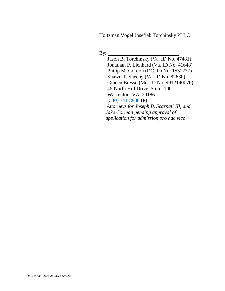Holtzman Vogel Josefiak Torchinsky PLLC

By:  $\qquad \qquad$ 

Jason B. Torchinsky (Va. ID No. 47481) Jonathan P. Lienhard (Va. ID No. 41648) Philip M. Gordon (DC. ID No. 1531277) Shawn T. Sheehy (Va. ID No. 82630) Gineen Bresso (Md. ID No. 9912140076) 45 North Hill Drive, Suite. 100 Warrenton, VA 20186  $(540)$  341-8808 (P)  *Attorneys for Joseph B. Scarnati III, and Jake Corman pending approval of application for admission pro hac vice*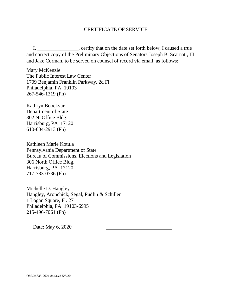## CERTIFICATE OF SERVICE

I, \_\_\_\_\_\_\_\_\_\_\_\_\_\_\_\_, certify that on the date set forth below, I caused a true and correct copy of the Preliminary Objections of Senators Joseph B. Scarnati, III and Jake Corman, to be served on counsel of record via email, as follows:

Mary McKenzie The Public Interest Law Center 1709 Benjamin Franklin Parkway, 2d Fl. Philadelphia, PA 19103 267-546-1319 (Ph)

Kathryn Boockvar Department of State 302 N. Office Bldg. Harrisburg, PA 17120 610-804-2913 (Ph)

Kathleen Marie Kotula Pennsylvania Department of State Bureau of Commissions, Elections and Legislation 306 North Office Bldg. Harrisburg, PA 17120 717-783-0736 (Ph)

Michelle D. Hangley Hangley, Aronchick, Segal, Pudlin & Schiller 1 Logan Square, Fl. 27 Philadelphia, PA 19103-6995 215-496-7061 (Ph)

Date: May 6, 2020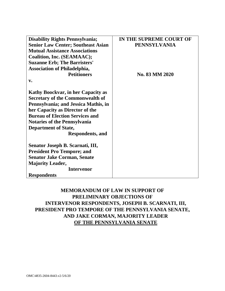| <b>Disability Rights Pennsylvania;</b>    | IN THE SUPREME COURT OF |
|-------------------------------------------|-------------------------|
| <b>Senior Law Center; Southeast Asian</b> | <b>PENNSYLVANIA</b>     |
| <b>Mutual Assistance Associations</b>     |                         |
| Coalition, Inc. (SEAMAAC);                |                         |
| <b>Suzanne Erb; The Barristers'</b>       |                         |
| <b>Association of Philadelphia,</b>       |                         |
| <b>Petitioners</b>                        | No. 83 MM 2020          |
| $V_{\bullet}$                             |                         |
| Kathy Boockvar, in her Capacity as        |                         |
| <b>Secretary of the Commonwealth of</b>   |                         |
| Pennsylvania; and Jessica Mathis, in      |                         |
| her Capacity as Director of the           |                         |
| <b>Bureau of Election Services and</b>    |                         |
| <b>Notaries of the Pennsylvania</b>       |                         |
| <b>Department of State,</b>               |                         |
| <b>Respondents, and</b>                   |                         |
| Senator Joseph B. Scarnati, III,          |                         |
| <b>President Pro Tempore; and</b>         |                         |
| <b>Senator Jake Corman, Senate</b>        |                         |
| <b>Majority Leader,</b>                   |                         |
| <b>Intervenor</b>                         |                         |
| <b>Respondents</b>                        |                         |

## **MEMORANDUM OF LAW IN SUPPORT OF PRELIMINARY OBJECTIONS OF INTERVENOR RESPONDENTS, JOSEPH B. SCARNATI, III, PRESIDENT PRO TEMPORE OF THE PENNSYLVANIA SENATE, AND JAKE CORMAN, MAJORITY LEADER OF THE PENNSYLVANIA SENATE**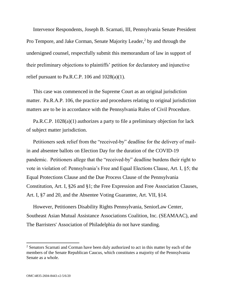Intervenor Respondents, Joseph B. Scarnati, III, Pennsylvania Senate President Pro Tempore, and Jake Corman, Senate Majority Leader,<sup>2</sup> by and through the undersigned counsel, respectfully submit this memorandum of law in support of their preliminary objections to plaintiffs' petition for declaratory and injunctive relief pursuant to Pa.R.C.P. 106 and  $1028(a)(1)$ .

This case was commenced in the Supreme Court as an original jurisdiction matter. Pa.R.A.P. 106, the practice and procedures relating to original jurisdiction matters are to be in accordance with the Pennsylvania Rules of Civil Procedure.

Pa.R.C.P. 1028(a)(1) authorizes a party to file a preliminary objection for lack of subject matter jurisdiction.

Petitioners seek relief from the "received-by" deadline for the delivery of mailin and absentee ballots on Election Day for the duration of the COVID-19 pandemic. Petitioners allege that the "received-by" deadline burdens their right to vote in violation of: Pennsylvania's Free and Equal Elections Clause, Art. I, §5; the Equal Protections Clause and the Due Process Clause of the Pennsylvania Constitution, Art. I, §26 and §1; the Free Expression and Free Association Clauses, Art. I, §7 and 20, and the Absentee Voting Guarantee, Art. VII, §14.

However, Petitioners Disability Rights Pennsylvania, SeniorLaw Center, Southeast Asian Mutual Assistance Associations Coalition, Inc. (SEAMAAC), and The Barristers' Association of Philadelphia do not have standing.

 $\overline{\phantom{a}}$ 

<sup>&</sup>lt;sup>2</sup> Senators Scarnati and Corman have been duly authorized to act in this matter by each of the members of the Senate Republican Caucus, which constitutes a majority of the Pennsylvania Senate as a whole.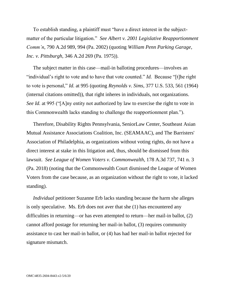To establish standing, a plaintiff must "have a direct interest in the subjectmatter of the particular litigation." *See Albert v. 2001 Legislative Reapportionment Comm'n*, 790 A.2d 989, 994 (Pa. 2002) (quoting *William Penn Parking Garage, Inc. v. Pittsburgh*, 346 A.2d 269 (Pa. 1975)).

The subject matter in this case—mail-in balloting procedures—involves an "individual's right to vote and to have that vote counted." *Id.* Because "[t]he right to vote is personal," *Id.* at 995 (quoting *Reynolds v. Sims*, 377 U.S. 533, 561 (1964) (internal citations omitted)), that right inheres in individuals, not organizations. *See Id.* at 995 ("[A]ny entity not authorized by law to exercise the right to vote in this Commonwealth lacks standing to challenge the reapportionment plan.").

Therefore, Disability Rights Pennsylvania, SeniorLaw Center, Southeast Asian Mutual Assistance Associations Coalition, Inc. (SEAMAAC), and The Barristers' Association of Philadelphia, as organizations without voting rights, do not have a direct interest at stake in this litigation and, thus, should be dismissed from this lawsuit. *See League of Women Voters v. Commonwealth*, 178 A.3d 737, 741 n. 3 (Pa. 2018) (noting that the Commonwealth Court dismissed the League of Women Voters from the case because, as an organization without the right to vote, it lacked standing).

*Individual* petitioner Suzanne Erb lacks standing because the harm she alleges is only speculative. Ms. Erb does not aver that she (1) has encountered any difficulties in returning—or has even attempted to return—her mail-in ballot, (2) cannot afford postage for returning her mail-in ballot, (3) requires community assistance to cast her mail-in ballot, or (4) has had her mail-in ballot rejected for signature mismatch.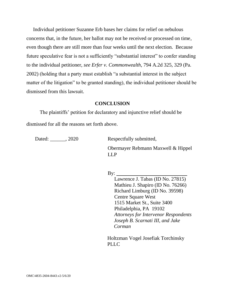Individual petitioner Suzanne Erb bases her claims for relief on nebulous concerns that, in the future, her ballot may not be received or processed on time, even though there are still more than four weeks until the next election. Because future speculative fear is not a sufficiently "substantial interest" to confer standing to the individual petitioner, *see Erfer v. Commonwealth*, 794 A.2d 325, 329 (Pa. 2002) (holding that a party must establish "a substantial interest in the subject matter of the litigation" to be granted standing), the individual petitioner should be dismissed from this lawsuit.

### **CONCLUSION**

The plaintiffs' petition for declaratory and injunctive relief should be dismissed for all the reasons set forth above.

Dated: 2020 Respectfully submitted,

Obermayer Rebmann Maxwell & Hippel LLP

By:  $\qquad \qquad$ 

Lawrence J. Tabas (ID No. 27815) Mathieu J. Shapiro (ID No. 76266) Richard Limburg (ID No. 39598) Centre Square West 1515 Market St., Suite 3400 Philadelphia, PA 19102 *Attorneys for Intervenor Respondents Joseph B. Scarnati III, and Jake Corman*

Holtzman Vogel Josefiak Torchinsky PLLC